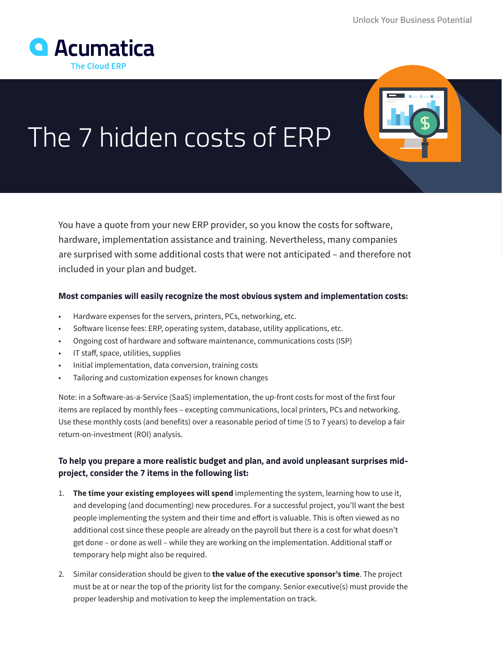## The 7 hidden costs of ERP

You have a quote from your new ERP provider, so you know the costs for software, hardware, implementation assistance and training. Nevertheless, many companies are surprised with some additional costs that were not anticipated – and therefore not included in your plan and budget.

## **Most companies will easily recognize the most obvious system and implementation costs:**

- Hardware expenses for the servers, printers, PCs, networking, etc.
- Software license fees: ERP, operating system, database, utility applications, etc.
- Ongoing cost of hardware and software maintenance, communications costs (ISP)
- IT staff, space, utilities, supplies
- Initial implementation, data conversion, training costs
- Tailoring and customization expenses for known changes

Note: in a Software-as-a-Service (SaaS) implementation, the up-front costs for most of the first four items are replaced by monthly fees – excepting communications, local printers, PCs and networking. Use these monthly costs (and benefits) over a reasonable period of time (5 to 7 years) to develop a fair return-on-investment (ROI) analysis.

## **To help you prepare a more realistic budget and plan, and avoid unpleasant surprises midproject, consider the 7 items in the following list:**

- 1. **The time your existing employees will spend** implementing the system, learning how to use it, and developing (and documenting) new procedures. For a successful project, you'll want the best people implementing the system and their time and effort is valuable. This is often viewed as no additional cost since these people are already on the payroll but there is a cost for what doesn't get done – or done as well – while they are working on the implementation. Additional staff or temporary help might also be required.
- 2. Similar consideration should be given to **the value of the executive sponsor's time**. The project must be at or near the top of the priority list for the company. Senior executive(s) must provide the proper leadership and motivation to keep the implementation on track.